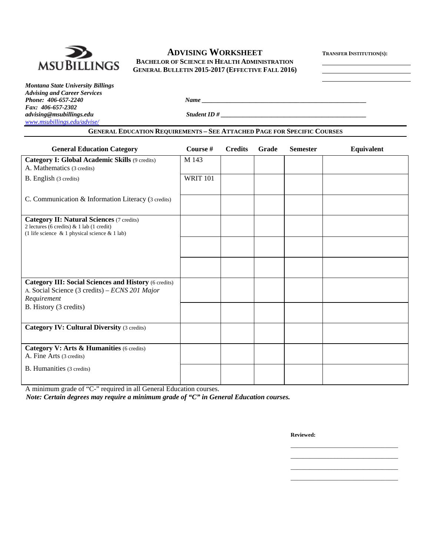

# **ADVISING WORKSHEET TRANSFER INSTITUTION(S):**

**MSUBILLINGS** BACHELOR OF SCIENCE IN HEALTH ADMINISTRATION **GENERAL BULLETIN 2015-2017 (EFFECTIVE FALL 2016)**

*Montana State University Billings Advising and Career Services Fax: 406-657-2302 www.msubillings.edu/advise/*

*Phone: 406-657-2240 Name*  $\frac{1}{2}$  *Name*  $\frac{1}{2}$  *Name*  $\frac{1}{2}$  *Name*  $\frac{1}{2}$  *Name*  $\frac{1}{2}$  *Name*  $\frac{1}{2}$  *Name*  $\frac{1}{2}$  *Name*  $\frac{1}{2}$  *Name*  $\frac{1}{2}$  *Name*  $\frac{1}{2}$  *Name*  $\frac{1}{2}$  *Name*  $\frac{1}{2}$ 

*advising@msubillings.edu Student ID # \_\_\_\_\_\_\_\_\_\_\_\_\_\_\_\_\_\_\_\_\_\_\_\_\_\_\_\_\_\_\_\_\_\_\_\_\_\_\_\_\_\_\_\_\_\_* 

### **GENERAL EDUCATION REQUIREMENTS – SEE ATTACHED PAGE FOR SPECIFIC COURSES**

| <b>General Education Category</b>                                                                                                                       | Course #        | <b>Credits</b> | Grade | <b>Semester</b> | Equivalent |
|---------------------------------------------------------------------------------------------------------------------------------------------------------|-----------------|----------------|-------|-----------------|------------|
| Category I: Global Academic Skills (9 credits)<br>A. Mathematics (3 credits)                                                                            | M 143           |                |       |                 |            |
| B. English (3 credits)                                                                                                                                  | <b>WRIT 101</b> |                |       |                 |            |
| C. Communication & Information Literacy (3 credits)                                                                                                     |                 |                |       |                 |            |
| <b>Category II: Natural Sciences</b> (7 credits)<br>2 lectures (6 credits) $\&$ 1 lab (1 credit)<br>(1 life science $\&$ 1 physical science $\&$ 1 lab) |                 |                |       |                 |            |
|                                                                                                                                                         |                 |                |       |                 |            |
|                                                                                                                                                         |                 |                |       |                 |            |
| <b>Category III: Social Sciences and History (6 credits)</b><br>A. Social Science (3 credits) – ECNS 201 Major<br>Requirement                           |                 |                |       |                 |            |
| B. History (3 credits)                                                                                                                                  |                 |                |       |                 |            |
| <b>Category IV: Cultural Diversity (3 credits)</b>                                                                                                      |                 |                |       |                 |            |
| Category V: Arts & Humanities (6 credits)<br>A. Fine Arts (3 credits)                                                                                   |                 |                |       |                 |            |
| <b>B.</b> Humanities (3 credits)                                                                                                                        |                 |                |       |                 |            |

 $\mathcal{L}_\text{max}$  , and the contract of the contract of the contract of the contract of the contract of the contract of the contract of the contract of the contract of the contract of the contract of the contract of the contr  $\mathcal{L}_\text{max}$  , and the contract of the contract of the contract of the contract of the contract of the contract of the contract of the contract of the contract of the contract of the contract of the contract of the contr  $\mathcal{L}_\text{max}$  , and the contract of the contract of the contract of the contract of the contract of the contract of the contract of the contract of the contract of the contract of the contract of the contract of the contr  $\mathcal{L}_\text{max}$  , and the contract of the contract of the contract of the contract of the contract of the contract of the contract of the contract of the contract of the contract of the contract of the contract of the contr

A minimum grade of "C-" required in all General Education courses.

*Note: Certain degrees may require a minimum grade of "C" in General Education courses.* 

**Reviewed:**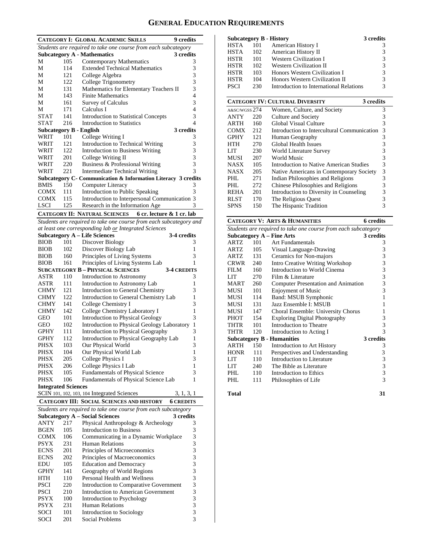# **GENERAL EDUCATION REQUIREMENTS**

|                                |     | <b>CATEGORY I: GLOBAL ACADEMIC SKILLS</b>                          | 9 credits        |
|--------------------------------|-----|--------------------------------------------------------------------|------------------|
|                                |     | Students are required to take one course from each subcategory     |                  |
|                                |     | <b>Subcategory A - Mathematics</b>                                 | 3 credits        |
| М                              | 105 | Contemporary Mathematics                                           | 3                |
| М                              | 114 | <b>Extended Technical Mathematics</b>                              | 3                |
| М                              | 121 | College Algebra                                                    | 3                |
| М                              | 122 | College Trigonometry                                               | 3                |
| М                              | 131 | Mathematics for Elementary Teachers II                             | 3                |
| М                              | 143 | <b>Finite Mathematics</b>                                          | 4                |
| М                              | 161 |                                                                    | 3                |
|                                |     | Survey of Calculus                                                 |                  |
| М                              | 171 | Calculus I                                                         | 4                |
| <b>STAT</b>                    | 141 | <b>Introduction to Statistical Concepts</b>                        | 3                |
| <b>STAT</b>                    | 216 | Introduction to Statistics                                         | 4                |
| <b>Subcategory B - English</b> |     |                                                                    | 3 credits        |
| WRIT                           | 101 | College Writing I                                                  | 3                |
| WRIT                           | 121 | Introduction to Technical Writing                                  | 3                |
| WRIT                           | 122 | Introduction to Business Writing                                   | 3                |
| WRIT                           | 201 | College Writing II                                                 | 3                |
| WRIT                           | 220 | Business & Professional Writing                                    | 3                |
|                                |     |                                                                    | 3                |
| WRIT                           | 221 | <b>Intermediate Technical Writing</b>                              |                  |
|                                |     | Subcategory C- Communication & Information Literacy 3 credits      |                  |
| <b>BMIS</b>                    | 150 | Computer Literacy                                                  | 3                |
| COMX                           | 111 | Introduction to Public Speaking                                    | 3                |
| <b>COMX</b>                    | 115 | Introduction to Interpersonal Communication 3                      |                  |
| <b>LSCI</b>                    | 125 | Research in the Information Age                                    | 3                |
|                                |     | <b>CATEGORY II: NATURAL SCIENCES</b>                               |                  |
|                                |     | 6 cr. lecture & 1 cr. lab                                          |                  |
|                                |     | Students are required to take one course from each subcategory and |                  |
|                                |     | at least one corresponding lab or Integrated Sciences              |                  |
|                                |     | <b>Subcategory A - Life Sciences</b>                               | 3-4 credits      |
| <b>BIOB</b>                    | 101 | Discover Biology                                                   | 3                |
| <b>BIOB</b>                    | 102 | Discover Biology Lab                                               | 1                |
| <b>BIOB</b>                    | 160 | Principles of Living Systems                                       | 3                |
| <b>BIOB</b>                    | 161 | Principles of Living Systems Lab                                   | 1                |
|                                |     | <b>SUBCATEGORY B - PHYSICAL SCIENCES</b><br><b>3-4 CREDITS</b>     |                  |
|                                |     |                                                                    |                  |
| ASTR                           | 110 | Introduction to Astronomy                                          | 3                |
| ASTR                           | 111 | Introduction to Astronomy Lab                                      | 1                |
| CHMY                           | 121 | Introduction to General Chemistry                                  | 3                |
| CHMY                           | 122 | Introduction to General Chemistry Lab                              | 1                |
| CHMY                           | 141 | College Chemistry I                                                | 3                |
| CHMY                           | 142 | College Chemistry Laboratory I                                     | 1                |
| GEO                            | 101 | Introduction to Physical Geology                                   | 3                |
| GEO                            | 102 | Introduction to Physical Geology Laboratory                        | $\mathbf{1}$     |
|                                |     |                                                                    | 3                |
| GPHY                           | 111 | Introduction to Physical Geography                                 |                  |
| GPHY                           | 112 | Introduction to Physical Geography Lab                             | 1                |
| PHSX                           | 103 | Our Physical World                                                 | 3                |
| PHSX                           | 104 | Our Physical World Lab                                             | 1                |
| PHSX                           | 205 | College Physics I                                                  | 3                |
| PHSX                           | 206 | College Physics I Lab                                              | 1                |
| PHSX                           | 105 | Fundamentals of Physical Science                                   | 3                |
| PHSX                           | 106 | Fundamentals of Physical Science Lab                               | 1                |
|                                |     |                                                                    |                  |
| <b>Integrated Sciences</b>     |     |                                                                    |                  |
|                                |     | SCIN 101, 102, 103, 104 Integrated Sciences                        | 3, 1, 3, 1       |
|                                |     | <b>CATEGORY III: SOCIAL SCIENCES AND HISTORY</b>                   | <b>6 CREDITS</b> |
|                                |     | Students are required to take one course from each subcategory     |                  |
|                                |     | <b>Subcategory A – Social Sciences</b>                             | 3 credits        |
| ANTY                           | 217 | Physical Anthropology & Archeology                                 | 3                |
|                                |     |                                                                    |                  |
| <b>BGEN</b>                    | 105 | <b>Introduction to Business</b>                                    | 3                |
| COMX                           | 106 | Communicating in a Dynamic Workplace                               | 3                |
| <b>PSYX</b>                    | 231 | <b>Human Relations</b>                                             | 3                |
| <b>ECNS</b>                    | 201 | Principles of Microeconomics                                       | 3                |
| <b>ECNS</b>                    | 202 | Principles of Macroeconomics                                       |                  |
| EDU                            | 105 | <b>Education and Democracy</b>                                     | 33333333         |
| <b>GPHY</b>                    | 141 | Geography of World Regions                                         |                  |
|                                |     |                                                                    |                  |
| HTH                            | 110 | Personal Health and Wellness                                       |                  |
| <b>PSCI</b>                    | 220 | Introduction to Comparative Government                             |                  |
| <b>PSCI</b>                    | 210 | Introduction to American Government                                |                  |
| <b>PSYX</b>                    | 100 | Introduction to Psychology                                         |                  |
| <b>PSYX</b>                    | 231 | <b>Human Relations</b>                                             |                  |
| <b>SOCI</b>                    | 101 | Introduction to Sociology                                          |                  |
| SOCI                           | 201 | Social Problems                                                    | 3                |
|                                |     |                                                                    |                  |

|      |     | Subcategory B - History                 | 3 credits |
|------|-----|-----------------------------------------|-----------|
| HSTA | 101 | American History I                      | 3         |
| HSTA | 102 | American History II                     | 3         |
| HSTR | 101 | <b>Western Civilization I</b>           | 3         |
| HSTR | 102 | Western Civilization II                 | 3         |
| HSTR | 103 | Honors Western Civilization I           | 3         |
| HSTR | 104 | Honors Western Civilization II          | 3         |
| PSCI | 230 | Introduction to International Relations | 3         |
|      |     |                                         |           |

|               |     | <b>CATEGORY IV: CULTURAL DIVERSITY</b><br>3 credits |   |
|---------------|-----|-----------------------------------------------------|---|
| A&SC/WGSS 274 |     | Women, Culture, and Society                         | 3 |
| <b>ANTY</b>   | 220 | Culture and Society                                 | 3 |
| ARTH          | 160 | Global Visual Culture                               | 3 |
| <b>COMX</b>   | 212 | Introduction to Intercultural Communication         | 3 |
| <b>GPHY</b>   | 121 | Human Geography                                     | 3 |
| <b>HTH</b>    | 270 | Global Health Issues                                | 3 |
| LIT           | 230 | World Literature Survey                             | 3 |
| <b>MUSI</b>   | 207 | World Music                                         | 3 |
| <b>NASX</b>   | 105 | Introduction to Native American Studies             | 3 |
| <b>NASX</b>   | 205 | Native Americans in Contemporary Society            | 3 |
| PHL           | 271 | Indian Philosophies and Religions                   | 3 |
| PHL           | 272 | Chinese Philosophies and Religions                  | 3 |
| <b>REHA</b>   | 201 | Introduction to Diversity in Counseling             | 3 |
| <b>RLST</b>   | 170 | The Religious Quest                                 | 3 |
| <b>SPNS</b>   | 150 | The Hispanic Tradition                              | 3 |

|                                                                |     | <b>CATEGORY V: ARTS &amp; HUMANITIES</b>   | <b>6</b> credits |  |  |  |  |  |
|----------------------------------------------------------------|-----|--------------------------------------------|------------------|--|--|--|--|--|
| Students are required to take one course from each subcategory |     |                                            |                  |  |  |  |  |  |
|                                                                |     | <b>Subcategory A - Fine Arts</b>           | 3 credits        |  |  |  |  |  |
| ARTZ                                                           | 101 | Art Fundamentals                           | 3                |  |  |  |  |  |
| ARTZ                                                           | 105 | Visual Language-Drawing                    | 3                |  |  |  |  |  |
| <b>ARTZ</b>                                                    | 131 | Ceramics for Non-majors                    | 3                |  |  |  |  |  |
| CRWR                                                           | 240 | Intro Creative Writing Workshop            | 3                |  |  |  |  |  |
| <b>FILM</b>                                                    | 160 | Introduction to World Cinema               | 3                |  |  |  |  |  |
| LIT                                                            | 270 | Film $&$ Literature                        | 3                |  |  |  |  |  |
| <b>MART</b>                                                    | 260 | <b>Computer Presentation and Animation</b> | 3                |  |  |  |  |  |
| MUSI                                                           | 101 | <b>Enjoyment of Music</b>                  | 3                |  |  |  |  |  |
| MUSI                                                           | 114 | Band: MSUB Symphonic                       | 1                |  |  |  |  |  |
| MUSI                                                           | 131 | Jazz Ensemble I: MSUB                      | 1                |  |  |  |  |  |
| MUSI                                                           | 147 | Choral Ensemble: University Chorus         | 1                |  |  |  |  |  |
| <b>PHOT</b>                                                    | 154 | <b>Exploring Digital Photography</b>       | 3                |  |  |  |  |  |
| THTR                                                           | 101 | Introduction to Theatre                    | 3                |  |  |  |  |  |
| THTR                                                           | 120 | Introduction to Acting I                   | 3                |  |  |  |  |  |
|                                                                |     | <b>Subcategory B - Humanities</b>          | 3 credits        |  |  |  |  |  |
| ARTH                                                           | 150 | Introduction to Art History                | 3                |  |  |  |  |  |
| <b>HONR</b>                                                    | 111 | Perspectives and Understanding             | 3                |  |  |  |  |  |
| LIT                                                            | 110 | Introduction to Literature                 | 3                |  |  |  |  |  |
| LIT                                                            | 240 | The Bible as Literature                    | 3                |  |  |  |  |  |
| PHI.                                                           | 110 | Introduction to Ethics                     | $\frac{3}{3}$    |  |  |  |  |  |
| PHI.                                                           | 111 | Philosophies of Life                       |                  |  |  |  |  |  |

**Total 31**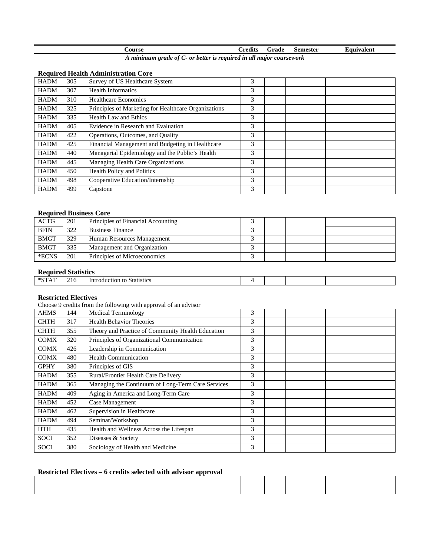| course |        |  | <b>Predits</b>           | Grade | Semester | Equivalent |
|--------|--------|--|--------------------------|-------|----------|------------|
|        | $\sim$ |  | $\overline{\phantom{0}}$ |       |          |            |

*A minimum grade of C- or better is required in all major coursework* 

#### **Required Health Administration Core**

| <b>HADM</b> | 305 | Survey of US Healthcare System                       | 3 |  |  |
|-------------|-----|------------------------------------------------------|---|--|--|
| <b>HADM</b> | 307 | <b>Health Informatics</b>                            | 3 |  |  |
| <b>HADM</b> | 310 | Healthcare Economics                                 | 3 |  |  |
| <b>HADM</b> | 325 | Principles of Marketing for Healthcare Organizations | 3 |  |  |
| <b>HADM</b> | 335 | Health Law and Ethics                                | 3 |  |  |
| <b>HADM</b> | 405 | Evidence in Research and Evaluation                  | 3 |  |  |
| <b>HADM</b> | 422 | Operations, Outcomes, and Quality                    | 3 |  |  |
| <b>HADM</b> | 425 | Financial Management and Budgeting in Healthcare     | 3 |  |  |
| <b>HADM</b> | 440 | Managerial Epidemiology and the Public's Health      | 3 |  |  |
| <b>HADM</b> | 445 | Managing Health Care Organizations                   | 3 |  |  |
| <b>HADM</b> | 450 | <b>Health Policy and Politics</b>                    | 3 |  |  |
| <b>HADM</b> | 498 | Cooperative Education/Internship                     | 3 |  |  |
| <b>HADM</b> | 499 | Capstone                                             | 3 |  |  |

#### **Required Business Core**

| <b>ACTG</b> | 201 | Principles of Financial Accounting |  |  |
|-------------|-----|------------------------------------|--|--|
| <b>BFIN</b> | 322 | <b>Business Finance</b>            |  |  |
| <b>BMGT</b> | 329 | Human Resources Management         |  |  |
| <b>BMGT</b> | 335 | Management and Organization        |  |  |
| *ECNS       | 201 | Principles of Microeconomics       |  |  |

# **Required Statistics**

|  | $+$ $\alpha$ $\pi$ | ▵ | $\sim$ 1.0 | ını<br>etion<br>Statistics<br>DC.<br>шк |  |  |  |  |
|--|--------------------|---|------------|-----------------------------------------|--|--|--|--|
|--|--------------------|---|------------|-----------------------------------------|--|--|--|--|

## **Restricted Electives**

Choose 9 credits from the following with approval of an advisor

| <b>AHMS</b> | 144 | <b>Medical Terminology</b>                        | 3 |  |  |
|-------------|-----|---------------------------------------------------|---|--|--|
| <b>CHTH</b> | 317 | <b>Health Behavior Theories</b>                   | 3 |  |  |
| <b>CHTH</b> | 355 | Theory and Practice of Community Health Education | 3 |  |  |
| <b>COMX</b> | 320 | Principles of Organizational Communication        | 3 |  |  |
| <b>COMX</b> | 426 | Leadership in Communication                       | 3 |  |  |
| <b>COMX</b> | 480 | <b>Health Communication</b>                       | 3 |  |  |
| <b>GPHY</b> | 380 | Principles of GIS                                 | 3 |  |  |
| <b>HADM</b> | 355 | Rural/Frontier Health Care Delivery               | 3 |  |  |
| <b>HADM</b> | 365 | Managing the Continuum of Long-Term Care Services | 3 |  |  |
| <b>HADM</b> | 409 | Aging in America and Long-Term Care               | 3 |  |  |
| <b>HADM</b> | 452 | Case Management                                   | 3 |  |  |
| <b>HADM</b> | 462 | Supervision in Healthcare                         | 3 |  |  |
| <b>HADM</b> | 494 | Seminar/Workshop                                  | 3 |  |  |
| <b>HTH</b>  | 435 | Health and Wellness Across the Lifespan           | 3 |  |  |
| <b>SOCI</b> | 352 | Diseases & Society                                | 3 |  |  |
| SOCI        | 380 | Sociology of Health and Medicine                  | 3 |  |  |

# **Restricted Electives – 6 credits selected with advisor approval**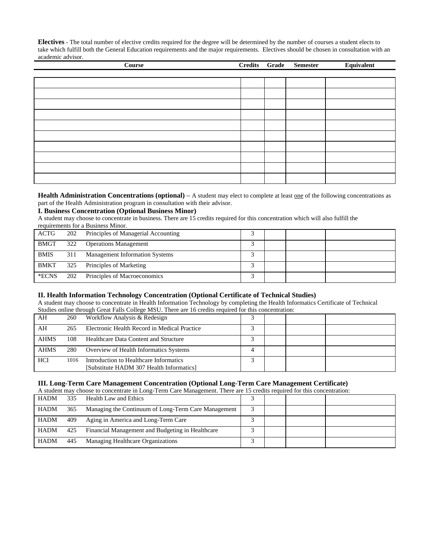**Electives** - The total number of elective credits required for the degree will be determined by the number of courses a student elects to take which fulfill both the General Education requirements and the major requirements. Electives should be chosen in consultation with an academic advisor.

| <b>Course</b> | Credits Grade | <b>Semester</b> | Equivalent |
|---------------|---------------|-----------------|------------|
|               |               |                 |            |
|               |               |                 |            |
|               |               |                 |            |
|               |               |                 |            |
|               |               |                 |            |
|               |               |                 |            |
|               |               |                 |            |
|               |               |                 |            |
|               |               |                 |            |
|               |               |                 |            |
|               |               |                 |            |

**Health Administration Concentrations (optional)** – A student may elect to complete at least one of the following concentrations as part of the Health Administration program in consultation with their advisor.

#### **I. Business Concentration (Optional Business Minor)**

A student may choose to concentrate in business. There are 15 credits required for this concentration which will also fulfill the requirements for a Business Minor.

| ACTG        | 202 | Principles of Managerial Accounting   |  |  |
|-------------|-----|---------------------------------------|--|--|
| <b>BMGT</b> | 322 | <b>Operations Management</b>          |  |  |
| <b>BMIS</b> | 311 | <b>Management Information Systems</b> |  |  |
| <b>BMKT</b> | 325 | Principles of Marketing               |  |  |
| *ECNS       | 202 | Principles of Macroeconomics          |  |  |

#### **II. Health Information Technology Concentration (Optional Certificate of Technical Studies)**

A student may choose to concentrate in Health Information Technology by completing the Health Informatics Certificate of Technical Studies online through Great Falls College MSU. There are 16 credits required for this concentration:

| AH          | 260  | Workflow Analysis & Redesign                 |  |  |
|-------------|------|----------------------------------------------|--|--|
| AH          | 265  | Electronic Health Record in Medical Practice |  |  |
| <b>AHMS</b> | 108  | Healthcare Data Content and Structure        |  |  |
| <b>AHMS</b> | 280  | Overview of Health Informatics Systems       |  |  |
| <b>HCI</b>  | 1016 | Introduction to Healthcare Informatics       |  |  |
|             |      | [Substitute HADM 307 Health Informatics]     |  |  |

#### **III. Long-Term Care Management Concentration (Optional Long-Term Care Management Certificate)**

| A student may choose to concentrate in Long-Term Care Management. There are 15 credits required for this concentration: |     |                                                     |  |  |  |  |
|-------------------------------------------------------------------------------------------------------------------------|-----|-----------------------------------------------------|--|--|--|--|
| <b>HADM</b>                                                                                                             | 335 | Health Law and Ethics                               |  |  |  |  |
| <b>HADM</b>                                                                                                             | 365 | Managing the Continuum of Long-Term Care Management |  |  |  |  |
| HADM                                                                                                                    | 409 | Aging in America and Long-Term Care                 |  |  |  |  |
| <b>HADM</b>                                                                                                             | 425 | Financial Management and Budgeting in Healthcare    |  |  |  |  |
| <b>HADM</b>                                                                                                             | 445 | Managing Healthcare Organizations                   |  |  |  |  |